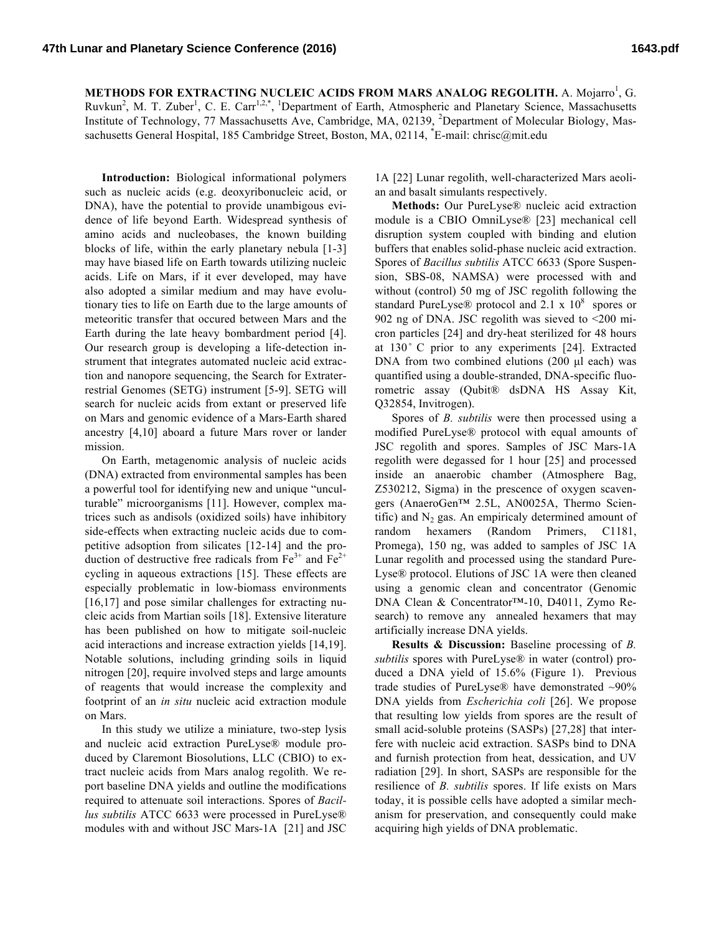**METHODS FOR EXTRACTING NUCLEIC ACIDS FROM MARS ANALOG REGOLITH.** A. Mojarro<sup>1</sup>, G. Ruvkun<sup>2</sup>, M. T. Zuber<sup>1</sup>, C. E. Carr<sup>1,2,\*</sup>, <sup>1</sup>Department of Earth, Atmospheric and Planetary Science, Massachusetts Institute of Technology, 77 Massachusetts Ave, Cambridge, MA, 02139, <sup>2</sup>Department of Molecular Biology, Massachusetts General Hospital, 185 Cambridge Street, Boston, MA, 02114, <sup>\*</sup>E-mail: chrisc@mit.edu

**Introduction:** Biological informational polymers such as nucleic acids (e.g. deoxyribonucleic acid, or DNA), have the potential to provide unambigous evidence of life beyond Earth. Widespread synthesis of amino acids and nucleobases, the known building blocks of life, within the early planetary nebula [1-3] may have biased life on Earth towards utilizing nucleic acids. Life on Mars, if it ever developed, may have also adopted a similar medium and may have evolutionary ties to life on Earth due to the large amounts of meteoritic transfer that occured between Mars and the Earth during the late heavy bombardment period [4]. Our research group is developing a life-detection instrument that integrates automated nucleic acid extraction and nanopore sequencing, the Search for Extraterrestrial Genomes (SETG) instrument [5-9]. SETG will search for nucleic acids from extant or preserved life on Mars and genomic evidence of a Mars-Earth shared ancestry [4,10] aboard a future Mars rover or lander mission.

On Earth, metagenomic analysis of nucleic acids (DNA) extracted from environmental samples has been a powerful tool for identifying new and unique "unculturable" microorganisms [11]. However, complex matrices such as andisols (oxidized soils) have inhibitory side-effects when extracting nucleic acids due to competitive adsoption from silicates [12-14] and the production of destructive free radicals from  $Fe^{3+}$  and  $Fe^{2+}$ cycling in aqueous extractions [15]. These effects are especially problematic in low-biomass environments [16,17] and pose similar challenges for extracting nucleic acids from Martian soils [18]. Extensive literature has been published on how to mitigate soil-nucleic acid interactions and increase extraction yields [14,19]. Notable solutions, including grinding soils in liquid nitrogen [20], require involved steps and large amounts of reagents that would increase the complexity and footprint of an *in situ* nucleic acid extraction module on Mars.

In this study we utilize a miniature, two-step lysis and nucleic acid extraction PureLyse® module produced by Claremont Biosolutions, LLC (CBIO) to extract nucleic acids from Mars analog regolith. We report baseline DNA yields and outline the modifications required to attenuate soil interactions. Spores of *Bacillus subtilis* ATCC 6633 were processed in PureLyse® modules with and without JSC Mars-1A [21] and JSC 1A [22] Lunar regolith, well-characterized Mars aeolian and basalt simulants respectively.

**Methods:** Our PureLyse® nucleic acid extraction module is a CBIO OmniLyse® [23] mechanical cell disruption system coupled with binding and elution buffers that enables solid-phase nucleic acid extraction. Spores of *Bacillus subtilis* ATCC 6633 (Spore Suspension, SBS-08, NAMSA) were processed with and without (control) 50 mg of JSC regolith following the standard PureLyse® protocol and  $2.1 \times 10^8$  spores or 902 ng of DNA. JSC regolith was sieved to  $\leq$ 200 micron particles [24] and dry-heat sterilized for 48 hours at  $130^\circ$  C prior to any experiments [24]. Extracted DNA from two combined elutions (200 µl each) was quantified using a double-stranded, DNA-specific fluorometric assay (Qubit® dsDNA HS Assay Kit, Q32854, Invitrogen).

Spores of *B. subtilis* were then processed using a modified PureLyse® protocol with equal amounts of JSC regolith and spores. Samples of JSC Mars-1A regolith were degassed for 1 hour [25] and processed inside an anaerobic chamber (Atmosphere Bag, Z530212, Sigma) in the prescence of oxygen scavengers (AnaeroGen™ 2.5L, AN0025A, Thermo Scientific) and  $N_2$  gas. An empiricaly determined amount of random hexamers (Random Primers, C1181, Promega), 150 ng, was added to samples of JSC 1A Lunar regolith and processed using the standard Pure-Lyse® protocol. Elutions of JSC 1A were then cleaned using a genomic clean and concentrator (Genomic DNA Clean & Concentrator™-10, D4011, Zymo Research) to remove any annealed hexamers that may artificially increase DNA yields.

**Results & Discussion:** Baseline processing of *B. subtilis* spores with PureLyse® in water (control) produced a DNA yield of 15.6% (Figure 1). Previous trade studies of PureLyse® have demonstrated ~90% DNA yields from *Escherichia coli* [26]. We propose that resulting low yields from spores are the result of small acid-soluble proteins (SASPs) [27,28] that interfere with nucleic acid extraction. SASPs bind to DNA and furnish protection from heat, dessication, and UV radiation [29]. In short, SASPs are responsible for the resilience of *B. subtilis* spores. If life exists on Mars today, it is possible cells have adopted a similar mechanism for preservation, and consequently could make acquiring high yields of DNA problematic.